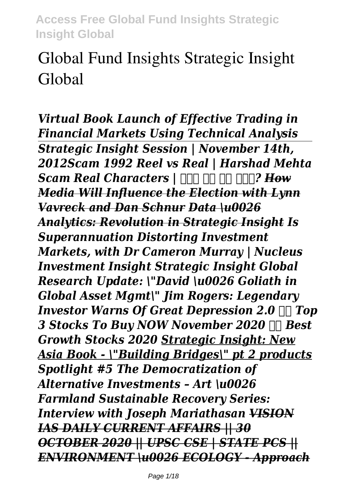# **Global Fund Insights Strategic Insight Global**

*Virtual Book Launch of Effective Trading in Financial Markets Using Technical Analysis Strategic Insight Session | November 14th, 2012Scam 1992 Reel vs Real | Harshad Mehta Scam Real Characters | Analyzi <i>How Media Will Influence the Election with Lynn Vavreck and Dan Schnur Data \u0026 Analytics: Revolution in Strategic Insight Is Superannuation Distorting Investment Markets, with Dr Cameron Murray | Nucleus Investment Insight Strategic Insight Global Research Update: \"David \u0026 Goliath in Global Asset Mgmt\" Jim Rogers: Legendary Investor Warns Of Great Depression 2.0*  $\Pi$  *Top 3 Stocks To Buy NOW November 2020 Best Growth Stocks 2020 Strategic Insight: New Asia Book - \"Building Bridges\" pt 2 products Spotlight #5 The Democratization of Alternative Investments – Art \u0026 Farmland Sustainable Recovery Series: Interview with Joseph Mariathasan VISION IAS DAILY CURRENT AFFAIRS || 30 OCTOBER 2020 || UPSC CSE | STATE PCS || ENVIRONMENT \u0026 ECOLOGY - Approach*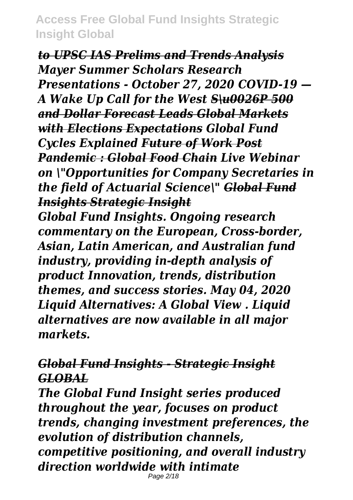*to UPSC IAS Prelims and Trends Analysis Mayer Summer Scholars Research Presentations - October 27, 2020 COVID-19 — A Wake Up Call for the West S\u0026P 500 and Dollar Forecast Leads Global Markets with Elections Expectations Global Fund Cycles Explained Future of Work Post Pandemic : Global Food Chain Live Webinar on \"Opportunities for Company Secretaries in the field of Actuarial Science\" Global Fund Insights Strategic Insight*

*Global Fund Insights. Ongoing research commentary on the European, Cross-border, Asian, Latin American, and Australian fund industry, providing in-depth analysis of product Innovation, trends, distribution themes, and success stories. May 04, 2020 Liquid Alternatives: A Global View . Liquid alternatives are now available in all major markets.*

# *Global Fund Insights - Strategic Insight GLOBAL*

*The Global Fund Insight series produced throughout the year, focuses on product trends, changing investment preferences, the evolution of distribution channels, competitive positioning, and overall industry direction worldwide with intimate* Page 2/18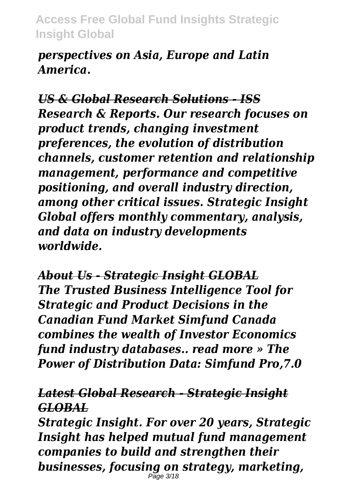*perspectives on Asia, Europe and Latin America.*

*US & Global Research Solutions - ISS Research & Reports. Our research focuses on product trends, changing investment preferences, the evolution of distribution channels, customer retention and relationship management, performance and competitive positioning, and overall industry direction, among other critical issues. Strategic Insight Global offers monthly commentary, analysis, and data on industry developments worldwide.*

*About Us - Strategic Insight GLOBAL The Trusted Business Intelligence Tool for Strategic and Product Decisions in the Canadian Fund Market Simfund Canada combines the wealth of Investor Economics fund industry databases.. read more » The Power of Distribution Data: Simfund Pro,7.0*

# *Latest Global Research - Strategic Insight GLOBAL*

*Strategic Insight. For over 20 years, Strategic Insight has helped mutual fund management companies to build and strengthen their businesses, focusing on strategy, marketing,* Page 3/18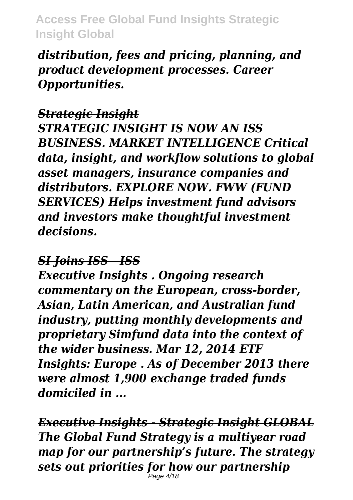*distribution, fees and pricing, planning, and product development processes. Career Opportunities.*

#### *Strategic Insight*

*STRATEGIC INSIGHT IS NOW AN ISS BUSINESS. MARKET INTELLIGENCE Critical data, insight, and workflow solutions to global asset managers, insurance companies and distributors. EXPLORE NOW. FWW (FUND SERVICES) Helps investment fund advisors and investors make thoughtful investment decisions.*

#### *SI Joins ISS - ISS*

*Executive Insights . Ongoing research commentary on the European, cross-border, Asian, Latin American, and Australian fund industry, putting monthly developments and proprietary Simfund data into the context of the wider business. Mar 12, 2014 ETF Insights: Europe . As of December 2013 there were almost 1,900 exchange traded funds domiciled in ...*

*Executive Insights - Strategic Insight GLOBAL The Global Fund Strategy is a multiyear road map for our partnership's future. The strategy sets out priorities for how our partnership* Page 4/18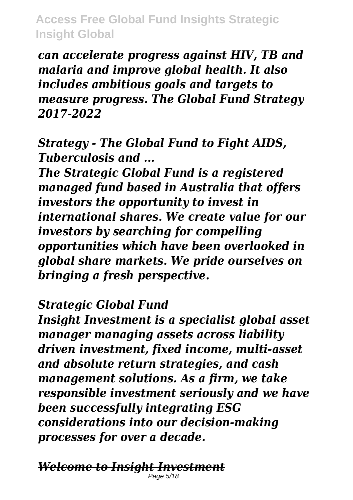*can accelerate progress against HIV, TB and malaria and improve global health. It also includes ambitious goals and targets to measure progress. The Global Fund Strategy 2017-2022*

#### *Strategy - The Global Fund to Fight AIDS, Tuberculosis and ...*

*The Strategic Global Fund is a registered managed fund based in Australia that offers investors the opportunity to invest in international shares. We create value for our investors by searching for compelling opportunities which have been overlooked in global share markets. We pride ourselves on bringing a fresh perspective.*

#### *Strategic Global Fund*

*Insight Investment is a specialist global asset manager managing assets across liability driven investment, fixed income, multi-asset and absolute return strategies, and cash management solutions. As a firm, we take responsible investment seriously and we have been successfully integrating ESG considerations into our decision-making processes for over a decade.*

#### *Welcome to Insight Investment* Page 5/18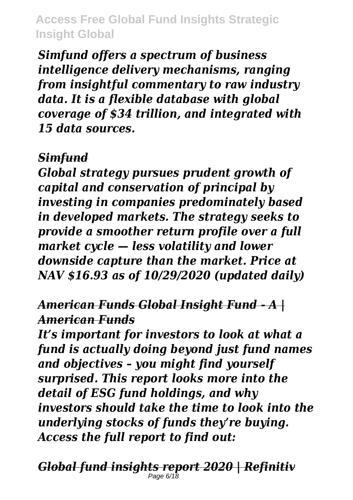*Simfund offers a spectrum of business intelligence delivery mechanisms, ranging from insightful commentary to raw industry data. It is a flexible database with global coverage of \$34 trillion, and integrated with 15 data sources.*

#### *Simfund*

*Global strategy pursues prudent growth of capital and conservation of principal by investing in companies predominately based in developed markets. The strategy seeks to provide a smoother return profile over a full market cycle — less volatility and lower downside capture than the market. Price at NAV \$16.93 as of 10/29/2020 (updated daily)*

# *American Funds Global Insight Fund - A | American Funds*

*It's important for investors to look at what a fund is actually doing beyond just fund names and objectives – you might find yourself surprised. This report looks more into the detail of ESG fund holdings, and why investors should take the time to look into the underlying stocks of funds they're buying. Access the full report to find out:*

*Global fund insights report 2020 | Refinitiv* Page 6/18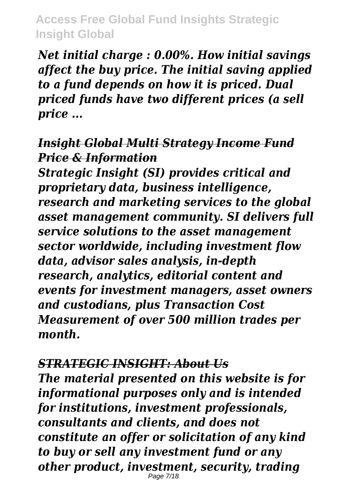*Net initial charge : 0.00%. How initial savings affect the buy price. The initial saving applied to a fund depends on how it is priced. Dual priced funds have two different prices (a sell price ...*

#### *Insight Global Multi Strategy Income Fund Price & Information*

*Strategic Insight (SI) provides critical and proprietary data, business intelligence, research and marketing services to the global asset management community. SI delivers full service solutions to the asset management sector worldwide, including investment flow data, advisor sales analysis, in-depth research, analytics, editorial content and events for investment managers, asset owners and custodians, plus Transaction Cost Measurement of over 500 million trades per month.*

*STRATEGIC INSIGHT: About Us The material presented on this website is for informational purposes only and is intended for institutions, investment professionals, consultants and clients, and does not constitute an offer or solicitation of any kind to buy or sell any investment fund or any other product, investment, security, trading* Page 7/18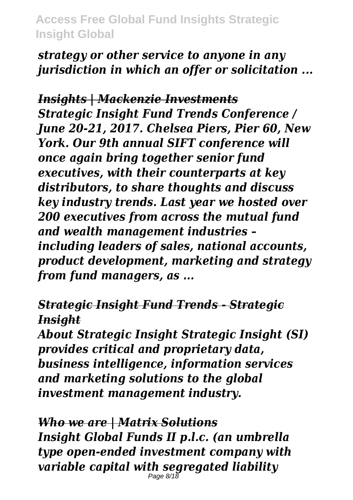*strategy or other service to anyone in any jurisdiction in which an offer or solicitation ...*

*Insights | Mackenzie Investments Strategic Insight Fund Trends Conference / June 20-21, 2017. Chelsea Piers, Pier 60, New York. Our 9th annual SIFT conference will once again bring together senior fund executives, with their counterparts at key distributors, to share thoughts and discuss key industry trends. Last year we hosted over 200 executives from across the mutual fund and wealth management industries – including leaders of sales, national accounts, product development, marketing and strategy from fund managers, as ...*

*Strategic Insight Fund Trends - Strategic Insight*

*About Strategic Insight Strategic Insight (SI) provides critical and proprietary data, business intelligence, information services and marketing solutions to the global investment management industry.*

*Who we are | Matrix Solutions Insight Global Funds II p.l.c. (an umbrella type open-ended investment company with variable capital with segregated liability* Page 8/18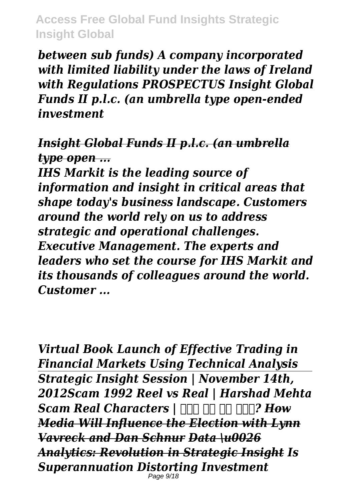*between sub funds) A company incorporated with limited liability under the laws of Ireland with Regulations PROSPECTUS Insight Global Funds II p.l.c. (an umbrella type open-ended investment*

#### *Insight Global Funds II p.l.c. (an umbrella type open ...*

*IHS Markit is the leading source of information and insight in critical areas that shape today's business landscape. Customers around the world rely on us to address strategic and operational challenges. Executive Management. The experts and leaders who set the course for IHS Markit and its thousands of colleagues around the world. Customer ...*

*Virtual Book Launch of Effective Trading in Financial Markets Using Technical Analysis Strategic Insight Session | November 14th, 2012Scam 1992 Reel vs Real | Harshad Mehta Scam Real Characters | Analyzi 7 How Media Will Influence the Election with Lynn Vavreck and Dan Schnur Data \u0026 Analytics: Revolution in Strategic Insight Is Superannuation Distorting Investment* Page 9/18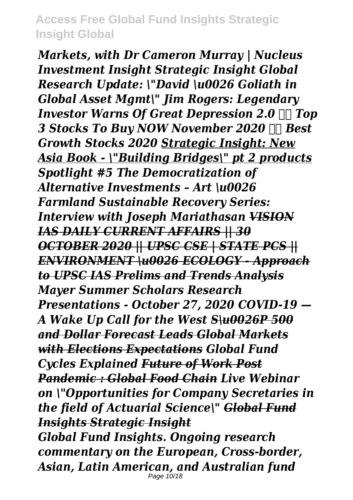*Markets, with Dr Cameron Murray | Nucleus Investment Insight Strategic Insight Global Research Update: \"David \u0026 Goliath in Global Asset Mgmt\" Jim Rogers: Legendary Investor Warns Of Great Depression 2.0*  $\Pi$  *Top 3 Stocks To Buy NOW November 2020 Best Growth Stocks 2020 Strategic Insight: New Asia Book - \"Building Bridges\" pt 2 products Spotlight #5 The Democratization of Alternative Investments – Art \u0026 Farmland Sustainable Recovery Series: Interview with Joseph Mariathasan VISION IAS DAILY CURRENT AFFAIRS || 30 OCTOBER 2020 || UPSC CSE | STATE PCS || ENVIRONMENT \u0026 ECOLOGY - Approach to UPSC IAS Prelims and Trends Analysis Mayer Summer Scholars Research Presentations - October 27, 2020 COVID-19 — A Wake Up Call for the West S\u0026P 500 and Dollar Forecast Leads Global Markets with Elections Expectations Global Fund Cycles Explained Future of Work Post Pandemic : Global Food Chain Live Webinar on \"Opportunities for Company Secretaries in the field of Actuarial Science\" Global Fund Insights Strategic Insight*

*Global Fund Insights. Ongoing research commentary on the European, Cross-border, Asian, Latin American, and Australian fund*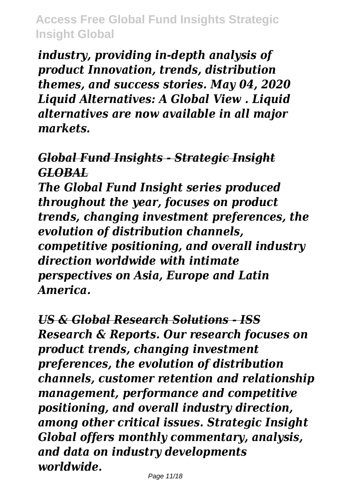*industry, providing in-depth analysis of product Innovation, trends, distribution themes, and success stories. May 04, 2020 Liquid Alternatives: A Global View . Liquid alternatives are now available in all major markets.*

# *Global Fund Insights - Strategic Insight GLOBAL*

*The Global Fund Insight series produced throughout the year, focuses on product trends, changing investment preferences, the evolution of distribution channels, competitive positioning, and overall industry direction worldwide with intimate perspectives on Asia, Europe and Latin America.*

*US & Global Research Solutions - ISS Research & Reports. Our research focuses on product trends, changing investment preferences, the evolution of distribution channels, customer retention and relationship management, performance and competitive positioning, and overall industry direction, among other critical issues. Strategic Insight Global offers monthly commentary, analysis, and data on industry developments worldwide.*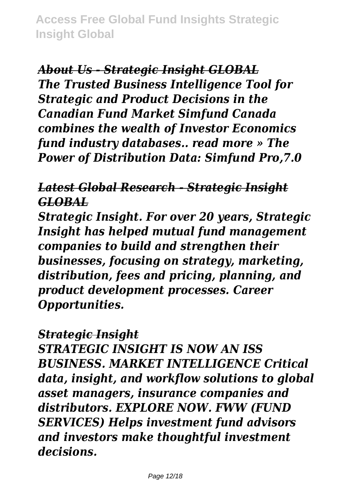*About Us - Strategic Insight GLOBAL The Trusted Business Intelligence Tool for Strategic and Product Decisions in the Canadian Fund Market Simfund Canada combines the wealth of Investor Economics fund industry databases.. read more » The Power of Distribution Data: Simfund Pro,7.0*

#### *Latest Global Research - Strategic Insight GLOBAL*

*Strategic Insight. For over 20 years, Strategic Insight has helped mutual fund management companies to build and strengthen their businesses, focusing on strategy, marketing, distribution, fees and pricing, planning, and product development processes. Career Opportunities.*

#### *Strategic Insight*

*STRATEGIC INSIGHT IS NOW AN ISS BUSINESS. MARKET INTELLIGENCE Critical data, insight, and workflow solutions to global asset managers, insurance companies and distributors. EXPLORE NOW. FWW (FUND SERVICES) Helps investment fund advisors and investors make thoughtful investment decisions.*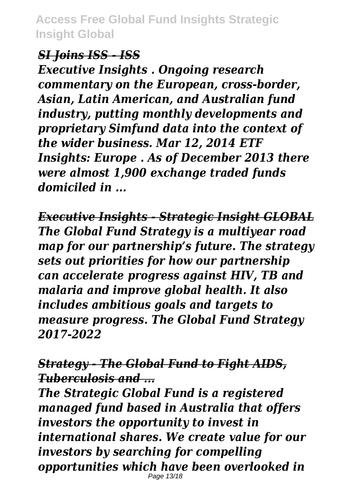#### *SI Joins ISS - ISS*

*Executive Insights . Ongoing research commentary on the European, cross-border, Asian, Latin American, and Australian fund industry, putting monthly developments and proprietary Simfund data into the context of the wider business. Mar 12, 2014 ETF Insights: Europe . As of December 2013 there were almost 1,900 exchange traded funds domiciled in ...*

*Executive Insights - Strategic Insight GLOBAL The Global Fund Strategy is a multiyear road map for our partnership's future. The strategy sets out priorities for how our partnership can accelerate progress against HIV, TB and malaria and improve global health. It also includes ambitious goals and targets to measure progress. The Global Fund Strategy 2017-2022*

*Strategy - The Global Fund to Fight AIDS, Tuberculosis and ...*

*The Strategic Global Fund is a registered managed fund based in Australia that offers investors the opportunity to invest in international shares. We create value for our investors by searching for compelling opportunities which have been overlooked in* Page 13/18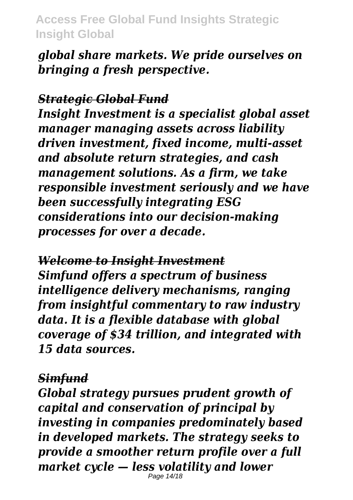*global share markets. We pride ourselves on bringing a fresh perspective.*

#### *Strategic Global Fund*

*Insight Investment is a specialist global asset manager managing assets across liability driven investment, fixed income, multi-asset and absolute return strategies, and cash management solutions. As a firm, we take responsible investment seriously and we have been successfully integrating ESG considerations into our decision-making processes for over a decade.*

*Welcome to Insight Investment Simfund offers a spectrum of business intelligence delivery mechanisms, ranging from insightful commentary to raw industry data. It is a flexible database with global coverage of \$34 trillion, and integrated with 15 data sources.*

#### *Simfund*

*Global strategy pursues prudent growth of capital and conservation of principal by investing in companies predominately based in developed markets. The strategy seeks to provide a smoother return profile over a full market cycle — less volatility and lower*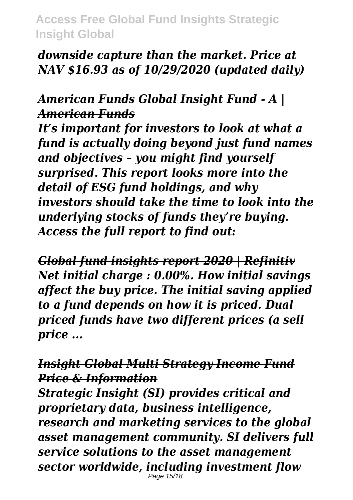### *downside capture than the market. Price at NAV \$16.93 as of 10/29/2020 (updated daily)*

# *American Funds Global Insight Fund - A | American Funds*

*It's important for investors to look at what a fund is actually doing beyond just fund names and objectives – you might find yourself surprised. This report looks more into the detail of ESG fund holdings, and why investors should take the time to look into the underlying stocks of funds they're buying. Access the full report to find out:*

*Global fund insights report 2020 | Refinitiv Net initial charge : 0.00%. How initial savings affect the buy price. The initial saving applied to a fund depends on how it is priced. Dual priced funds have two different prices (a sell price ...*

#### *Insight Global Multi Strategy Income Fund Price & Information*

*Strategic Insight (SI) provides critical and proprietary data, business intelligence, research and marketing services to the global asset management community. SI delivers full service solutions to the asset management sector worldwide, including investment flow* Page 15/18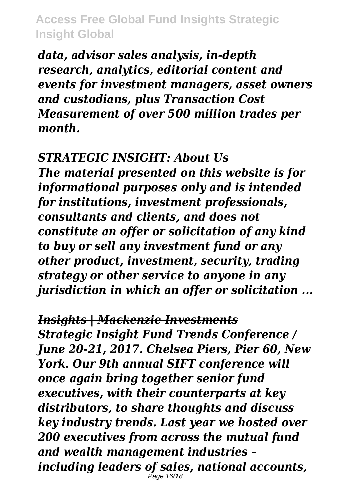*data, advisor sales analysis, in-depth research, analytics, editorial content and events for investment managers, asset owners and custodians, plus Transaction Cost Measurement of over 500 million trades per month.*

#### *STRATEGIC INSIGHT: About Us*

*The material presented on this website is for informational purposes only and is intended for institutions, investment professionals, consultants and clients, and does not constitute an offer or solicitation of any kind to buy or sell any investment fund or any other product, investment, security, trading strategy or other service to anyone in any jurisdiction in which an offer or solicitation ...*

#### *Insights | Mackenzie Investments*

*Strategic Insight Fund Trends Conference / June 20-21, 2017. Chelsea Piers, Pier 60, New York. Our 9th annual SIFT conference will once again bring together senior fund executives, with their counterparts at key distributors, to share thoughts and discuss key industry trends. Last year we hosted over 200 executives from across the mutual fund and wealth management industries – including leaders of sales, national accounts,* Page 16/18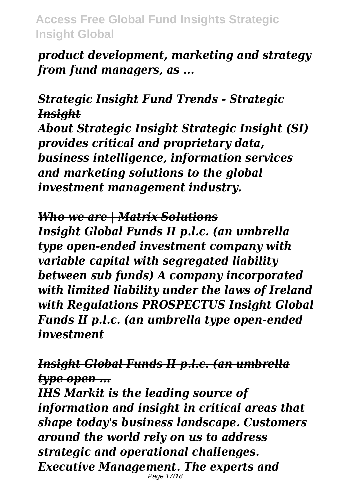*product development, marketing and strategy from fund managers, as ...*

# *Strategic Insight Fund Trends - Strategic Insight*

*About Strategic Insight Strategic Insight (SI) provides critical and proprietary data, business intelligence, information services and marketing solutions to the global investment management industry.*

#### *Who we are | Matrix Solutions*

*Insight Global Funds II p.l.c. (an umbrella type open-ended investment company with variable capital with segregated liability between sub funds) A company incorporated with limited liability under the laws of Ireland with Regulations PROSPECTUS Insight Global Funds II p.l.c. (an umbrella type open-ended investment*

*Insight Global Funds II p.l.c. (an umbrella type open ...*

*IHS Markit is the leading source of information and insight in critical areas that shape today's business landscape. Customers around the world rely on us to address strategic and operational challenges. Executive Management. The experts and* Page 17/18